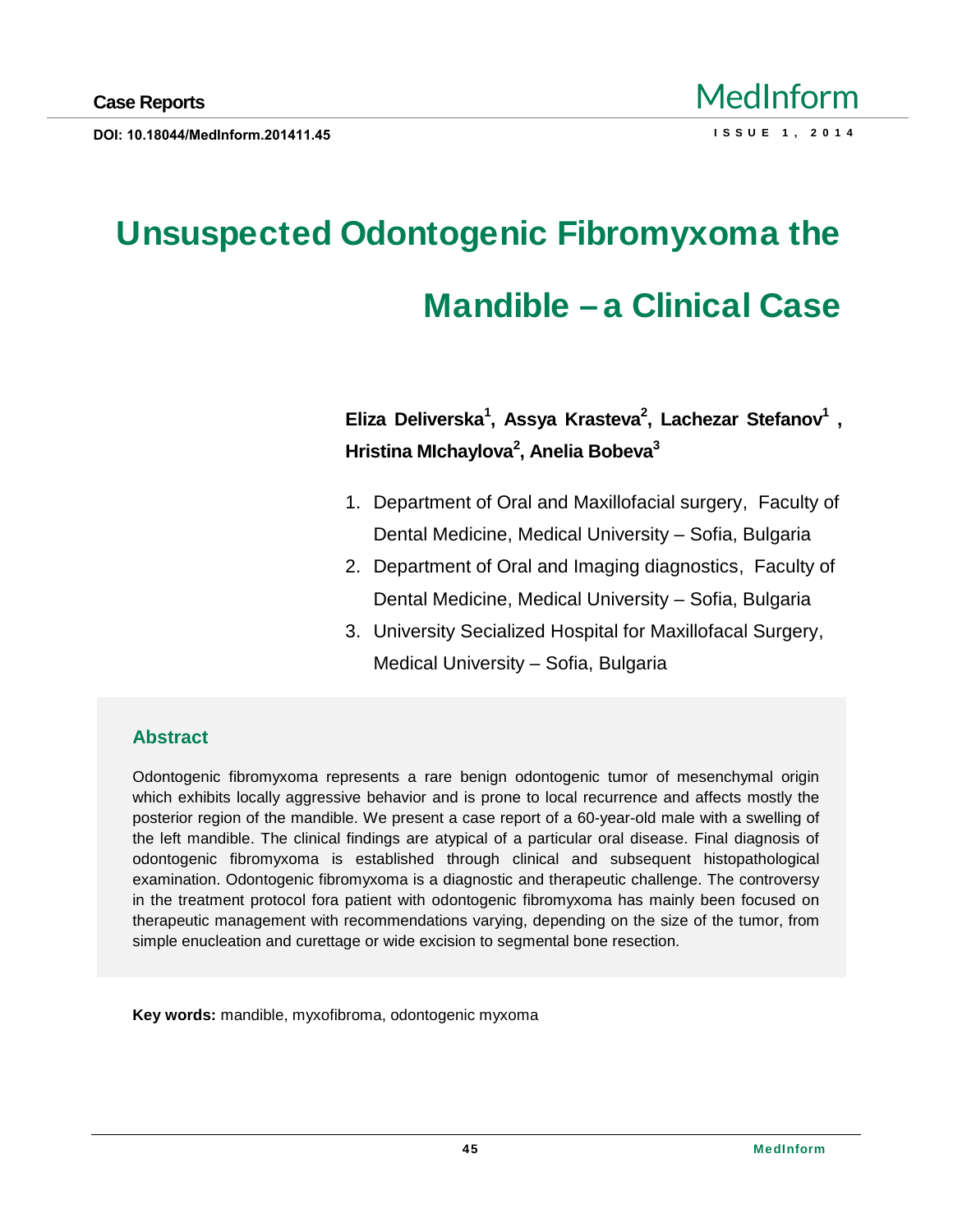# Unsuspected Odontogenic Fibromyxoma the Mandible €a Clinical Case

Eliza Deliverska <sup>1</sup>, Assya Krasteva <sup>2</sup>, Lachezar Stefanov <sup>1</sup> , Hristina MIchaylova <sup>2</sup>, Anelia Bobeva <sup>3</sup>

- 1. Department of Oral and Maxillofacial surgery, Faculty of Dental Medicine, Medical University € Sofia, Bulgaria
- 2. Department of Oral and Imaging diagnostics, Faculty of Dental Medicine, Medical University € Sofia, Bulgaria
- 3. University Secialized Hospital for Maxillofacal Surgery, Medical University € Sofia, Bulgaria

### Abstract

Odontogenic fibromyxoma represents a rare benign odontogenic tumor of mesenchymal origin which exhibits locally aggressive behavior and is prone to local recurrence and affects mostly the posterior region of the mandible. We present a case report of a 60-year-old male with a swelling of the left mandible. The clinical findings are atypical of a particular oral disease. Final diagnosis of odontogenic fibromyxoma is established through clinical and subsequent histopathological examination. Odontogenic fibromyxoma is a diagnostic and therapeutic challenge. The controversy in the treatment protocol fora patient with odontogenic fibromyxoma has mainly been focused on therapeutic management with recommendations varying, depending on the size of the tumor, from simple enucleation and curettage or wide excision to segmental bone resection.

Key words: mandible, myxofibroma, odontogenic myxoma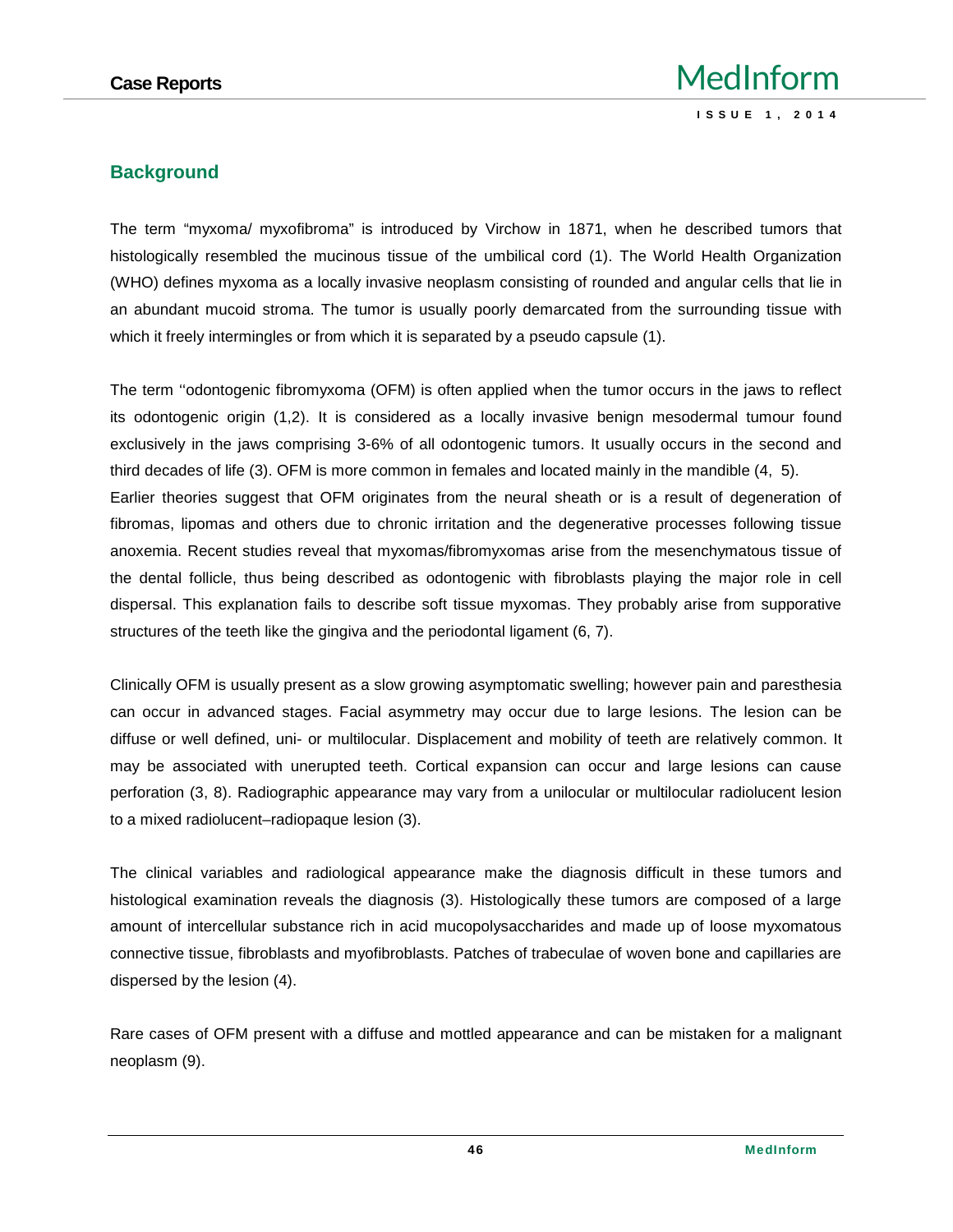#### **Background**

The term "myxoma/ myxofibroma" is introduced by Virchow in 1871, when he described tumors that histologically resembled the mucinous tissue of the umbilical cord (1). The World Health Organization (WHO) defines myxoma as a locally invasive neoplasm consisting of rounded and angular cells that lie in an abundant mucoid stroma. The tumor is usually poorly demarcated from the surrounding tissue with which it freely intermingles or from which it is separated by a pseudo capsule (1).

The term ''odontogenic fibromyxoma (OFM) is often applied when the tumor occurs in the jaws to reflect its odontogenic origin (1,2). It is considered as a locally invasive benign mesodermal tumour found exclusively in the jaws comprising 3-6% of all odontogenic tumors. It usually occurs in the second and third decades of life (3). OFM is more common in females and located mainly in the mandible (4, 5). Earlier theories suggest that OFM originates from the neural sheath or is a result of degeneration of fibromas, lipomas and others due to chronic irritation and the degenerative processes following tissue anoxemia. Recent studies reveal that myxomas/fibromyxomas arise from the mesenchymatous tissue of the dental follicle, thus being described as odontogenic with fibroblasts playing the major role in cell dispersal. This explanation fails to describe soft tissue myxomas. They probably arise from supporative structures of the teeth like the gingiva and the periodontal ligament (6, 7).

Clinically OFM is usually present as a slow growing asymptomatic swelling; however pain and paresthesia can occur in advanced stages. Facial asymmetry may occur due to large lesions. The lesion can be diffuse or well defined, uni- or multilocular. Displacement and mobility of teeth are relatively common. It may be associated with unerupted teeth. Cortical expansion can occur and large lesions can cause perforation (3, 8). Radiographic appearance may vary from a unilocular or multilocular radiolucent lesion to a mixed radiolucent–radiopaque lesion (3).

The clinical variables and radiological appearance make the diagnosis difficult in these tumors and histological examination reveals the diagnosis (3). Histologically these tumors are composed of a large amount of intercellular substance rich in acid mucopolysaccharides and made up of loose myxomatous connective tissue, fibroblasts and myofibroblasts. Patches of trabeculae of woven bone and capillaries are dispersed by the lesion (4).

Rare cases of OFM present with a diffuse and mottled appearance and can be mistaken for a malignant neoplasm (9).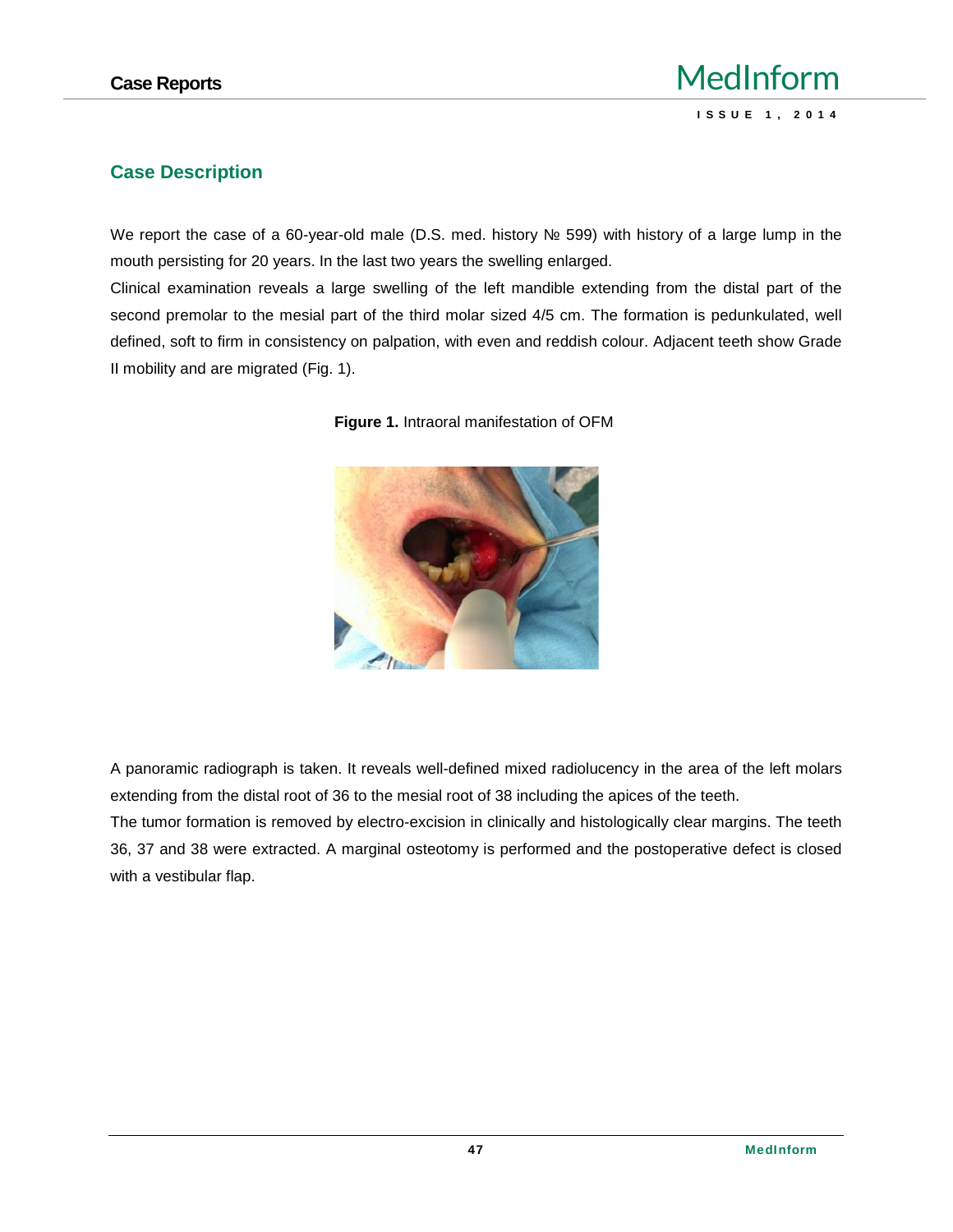## **Case Reports** MedInform **IedInform**<br> **ISSUE 1, 2014**

#### **Case Description**

We report the case of a 60-year-old male (D.S. med. history 599) with history of a large lump in the mouth persisting for 20 years. In the last two years the swelling enlarged.

Clinical examination reveals a large swelling of the left mandible extending from the distal part of the second premolar to the mesial part of the third molar sized 4/5 cm. The formation is pedunkulated, well defined, soft to firm in consistency on palpation, with even and reddish colour. Adjacent teeth show Grade II mobility and are migrated (Fig. 1).





A panoramic radiograph is taken. It reveals well-defined mixed radiolucency in the area of the left molars extending from the distal root of 36 to the mesial root of 38 including the apices of the teeth.

The tumor formation is removed by electro-excision in clinically and histologically clear margins. The teeth 36, 37 and 38 were extracted. A marginal osteotomy is performed and the postoperative defect is closed with a vestibular flap.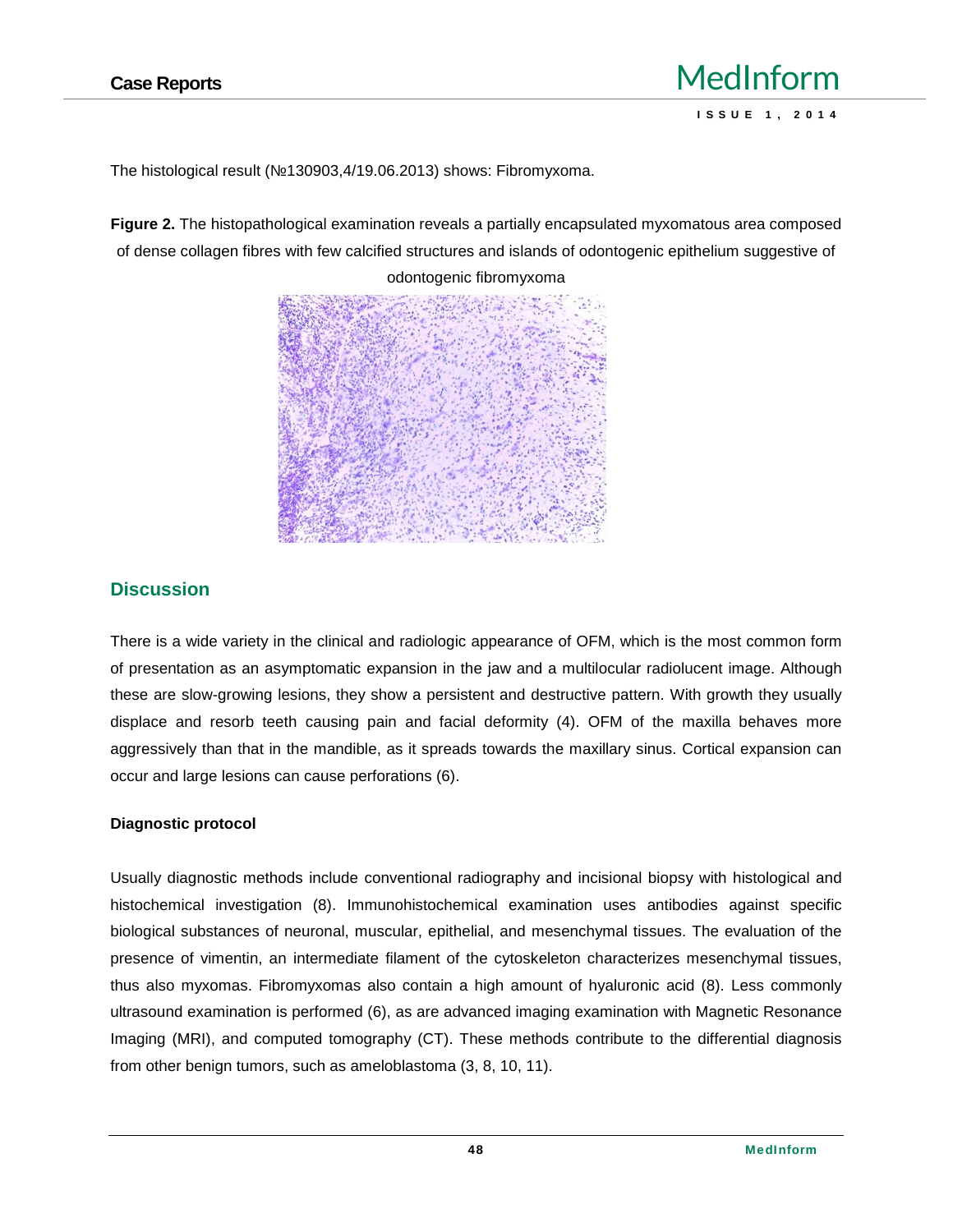The histological result (№130903,4/19.06.2013) shows: Fibromyxoma.

**Figure 2.** The histopathological examination reveals a partially encapsulated myxomatous area composed of dense collagen fibres with few calcified structures and islands of odontogenic epithelium suggestive of



#### **Discussion**

There is a wide variety in the clinical and radiologic appearance of OFM, which is the most common form of presentation as an asymptomatic expansion in the jaw and a multilocular radiolucent image. Although these are slow-growing lesions, they show a persistent and destructive pattern. With growth they usually displace and resorb teeth causing pain and facial deformity (4). OFM of the maxilla behaves more aggressively than that in the mandible, as it spreads towards the maxillary sinus. Cortical expansion can occur and large lesions can cause perforations (6).

#### **Diagnostic protocol**

Usually diagnostic methods include conventional radiography and incisional biopsy with histological and histochemical investigation (8). Immunohistochemical examination uses antibodies against specific biological substances of neuronal, muscular, epithelial, and mesenchymal tissues. The evaluation of the presence of vimentin, an intermediate filament of the cytoskeleton characterizes mesenchymal tissues, thus also myxomas. Fibromyxomas also contain a high amount of hyaluronic acid (8). Less commonly ultrasound examination is performed (6), as are advanced imaging examination with Magnetic Resonance Imaging (MRI), and computed tomography (CT). These methods contribute to the differential diagnosis from other benign tumors, such as ameloblastoma (3, 8, 10, 11).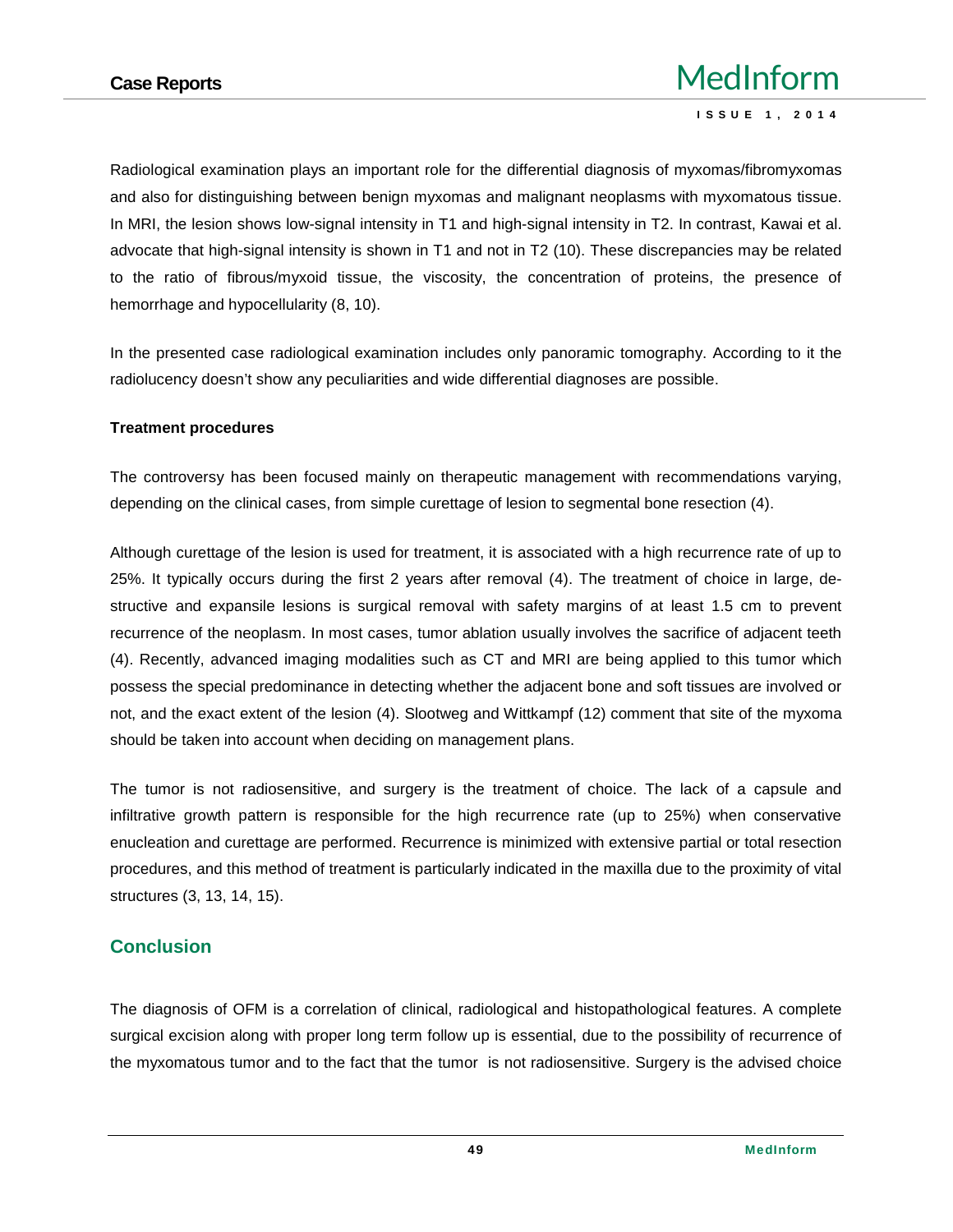Radiological examination plays an important role for the differential diagnosis of myxomas/fibromyxomas and also for distinguishing between benign myxomas and malignant neoplasms with myxomatous tissue. In MRI, the lesion shows low-signal intensity in T1 and high-signal intensity in T2. In contrast, Kawai et al. advocate that high-signal intensity is shown in T1 and not in T2 (10). These discrepancies may be related to the ratio of fibrous/myxoid tissue, the viscosity, the concentration of proteins, the presence of hemorrhage and hypocellularity (8, 10).

In the presented case radiological examination includes only panoramic tomography. According to it the radiolucency doesn't show any peculiarities and wide differential diagnoses are possible.

#### **Treatment procedures**

The controversy has been focused mainly on therapeutic management with recommendations varying, depending on the clinical cases, from simple curettage of lesion to segmental bone resection (4).

Although curettage of the lesion is used for treatment, it is associated with a high recurrence rate of up to 25%. It typically occurs during the first 2 years after removal (4). The treatment of choice in large, de structive and expansile lesions is surgical removal with safety margins of at least 1.5 cm to prevent recurrence of the neoplasm. In most cases, tumor ablation usually involves the sacrifice of adjacent teeth (4). Recently, advanced imaging modalities such as CT and MRI are being applied to this tumor which possess the special predominance in detecting whether the adjacent bone and soft tissues are involved or not, and the exact extent of the lesion (4). Slootweg and Wittkampf (12) comment that site of the myxoma should be taken into account when deciding on management plans.

The tumor is not radiosensitive, and surgery is the treatment of choice. The lack of a capsule and infiltrative growth pattern is responsible for the high recurrence rate (up to 25%) when conservative enucleation and curettage are performed. Recurrence is minimized with extensive partial or total resection procedures, and this method of treatment is particularly indicated in the maxilla due to the proximity of vital structures (3, 13, 14, 15).

#### **Conclusion**

The diagnosis of OFM is a correlation of clinical, radiological and histopathological features. A complete surgical excision along with proper long term follow up is essential, due to the possibility of recurrence of the myxomatous tumor and to the fact that the tumor is not radiosensitive. Surgery is the advised choice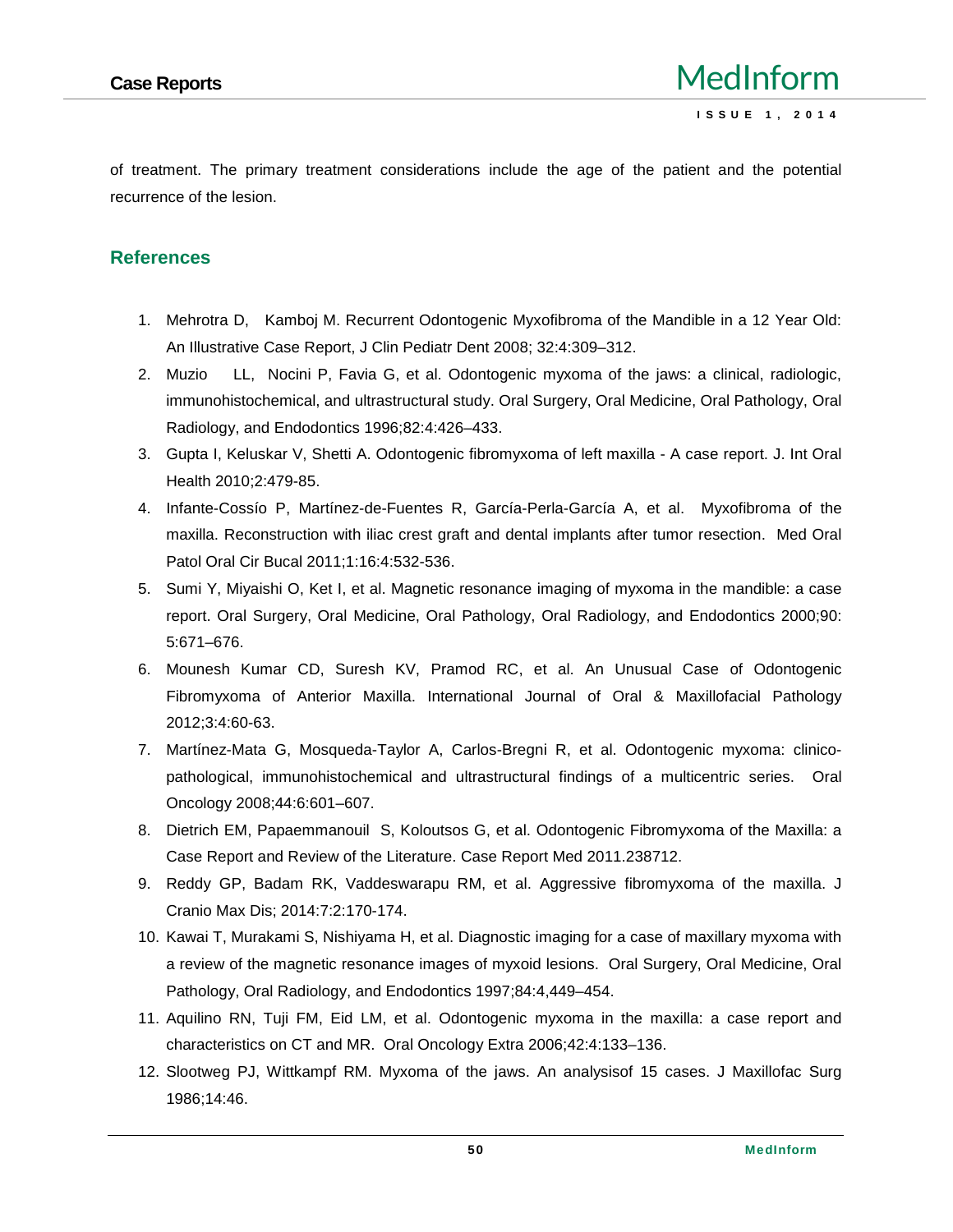of treatment. The primary treatment considerations include the age of the patient and the potential recurrence of the lesion.

#### **References**

- 1. Mehrotra D, Kamboj M. Recurrent Odontogenic Myxofibroma of the Mandible in a 12 Year Old: An Illustrative Case Report, J Clin Pediatr Dent 2008; 32:4:309–312.
- 2. Muzio LL, Nocini P, Favia G, et al. Odontogenic myxoma of the jaws: a clinical, radiologic, immunohistochemical, and ultrastructural study. Oral Surgery, Oral Medicine, Oral Pathology, Oral Radiology, and Endodontics 1996;82:4:426–433.
- 3. Gupta I, Keluskar V, Shetti A. Odontogenic fibromyxoma of left maxilla A case report. J. Int Oral Health 2010;2:479-85.
- 4. Infante-Cossío P, Martínez-de-Fuentes R, García-Perla-García A, et al. Myxofibroma of the maxilla. Reconstruction with iliac crest graft and dental implants after tumor resection. Med Oral Patol Oral Cir Bucal 2011;1:16:4:532-536.
- 5. Sumi Y, Miyaishi O, Ket I, et al. Magnetic resonance imaging of myxoma in the mandible: a case report. Oral Surgery, Oral Medicine, Oral Pathology, Oral Radiology, and Endodontics 2000;90: 5:671–676.
- 6. Mounesh Kumar CD, Suresh KV, Pramod RC, et al. An Unusual Case of Odontogenic Fibromyxoma of Anterior Maxilla. International Journal of Oral & Maxillofacial Pathology 2012;3:4:60-63.
- 7. Martínez-Mata G, Mosqueda-Taylor A, Carlos-Bregni R, et al. Odontogenic myxoma: clinico pathological, immunohistochemical and ultrastructural findings of a multicentric series. Oral Oncology 2008;44:6:601–607.
- 8. Dietrich EM, Papaemmanouil S, Koloutsos G, et al. Odontogenic Fibromyxoma of the Maxilla: a Case Report and Review of the Literature. Case Report Med 2011.238712.
- 9. Reddy GP, Badam RK, Vaddeswarapu RM, et al. Aggressive fibromyxoma of the maxilla. J Cranio Max Dis; 2014:7:2:170-174.
- 10. Kawai T, Murakami S, Nishiyama H, et al. Diagnostic imaging for a case of maxillary myxoma with a review of the magnetic resonance images of myxoid lesions. Oral Surgery, Oral Medicine, Oral Pathology, Oral Radiology, and Endodontics 1997;84:4,449–454.
- 11. Aquilino RN, Tuji FM, Eid LM, et al. Odontogenic myxoma in the maxilla: a case report and characteristics on CT and MR. Oral Oncology Extra 2006;42:4:133–136.
- 12. Slootweg PJ, Wittkampf RM. Myxoma of the jaws. An analysisof 15 cases. J Maxillofac Surg 1986;14:46.